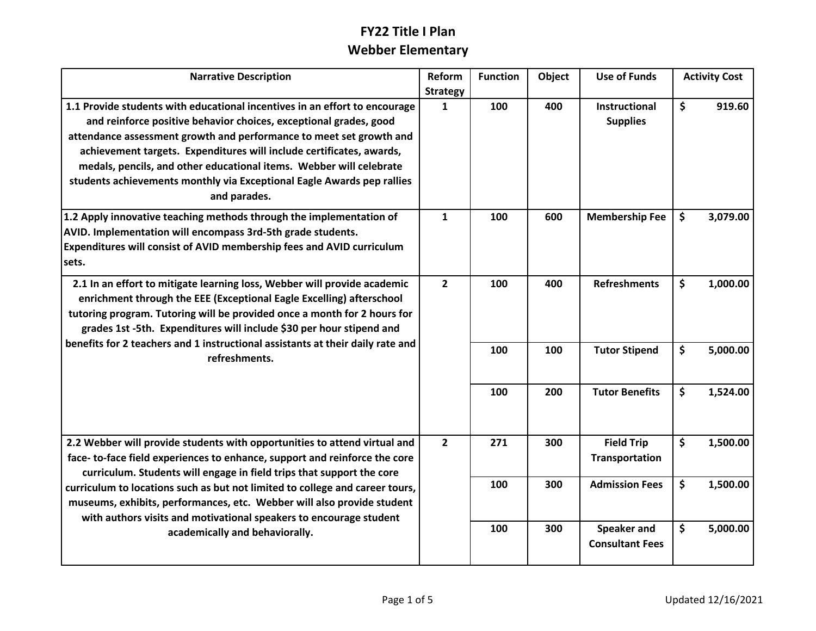## **FY22 Title I Plan Webber Elementary**

| <b>Narrative Description</b>                                                                                                                                                                                                                                                                                                                                                                                                                                                                       | Reform          | <b>Function</b> | Object | <b>Use of Funds</b>                   | <b>Activity Cost</b> |
|----------------------------------------------------------------------------------------------------------------------------------------------------------------------------------------------------------------------------------------------------------------------------------------------------------------------------------------------------------------------------------------------------------------------------------------------------------------------------------------------------|-----------------|-----------------|--------|---------------------------------------|----------------------|
|                                                                                                                                                                                                                                                                                                                                                                                                                                                                                                    | <b>Strategy</b> |                 |        |                                       |                      |
| 1.1 Provide students with educational incentives in an effort to encourage<br>and reinforce positive behavior choices, exceptional grades, good<br>attendance assessment growth and performance to meet set growth and<br>achievement targets. Expenditures will include certificates, awards,<br>medals, pencils, and other educational items. Webber will celebrate<br>students achievements monthly via Exceptional Eagle Awards pep rallies<br>and parades.                                    | $\mathbf{1}$    | 100             | 400    | Instructional<br><b>Supplies</b>      | \$<br>919.60         |
| 1.2 Apply innovative teaching methods through the implementation of<br>AVID. Implementation will encompass 3rd-5th grade students.<br>Expenditures will consist of AVID membership fees and AVID curriculum<br>sets.                                                                                                                                                                                                                                                                               | $\mathbf{1}$    | 100             | 600    | <b>Membership Fee</b>                 | \$<br>3,079.00       |
| 2.1 In an effort to mitigate learning loss, Webber will provide academic<br>enrichment through the EEE (Exceptional Eagle Excelling) afterschool<br>tutoring program. Tutoring will be provided once a month for 2 hours for<br>grades 1st -5th. Expenditures will include \$30 per hour stipend and<br>benefits for 2 teachers and 1 instructional assistants at their daily rate and<br>refreshments.                                                                                            | $\overline{2}$  | 100             | 400    | <b>Refreshments</b>                   | \$<br>1,000.00       |
|                                                                                                                                                                                                                                                                                                                                                                                                                                                                                                    |                 | 100             | 100    | <b>Tutor Stipend</b>                  | \$<br>5,000.00       |
|                                                                                                                                                                                                                                                                                                                                                                                                                                                                                                    |                 | 100             | 200    | <b>Tutor Benefits</b>                 | \$<br>1,524.00       |
| 2.2 Webber will provide students with opportunities to attend virtual and<br>face- to-face field experiences to enhance, support and reinforce the core<br>curriculum. Students will engage in field trips that support the core<br>curriculum to locations such as but not limited to college and career tours,<br>museums, exhibits, performances, etc. Webber will also provide student<br>with authors visits and motivational speakers to encourage student<br>academically and behaviorally. | $\overline{2}$  | 271             | 300    | <b>Field Trip</b><br>Transportation   | \$<br>1,500.00       |
|                                                                                                                                                                                                                                                                                                                                                                                                                                                                                                    |                 | 100             | 300    | <b>Admission Fees</b>                 | \$<br>1,500.00       |
|                                                                                                                                                                                                                                                                                                                                                                                                                                                                                                    |                 | 100             | 300    | Speaker and<br><b>Consultant Fees</b> | \$<br>5,000.00       |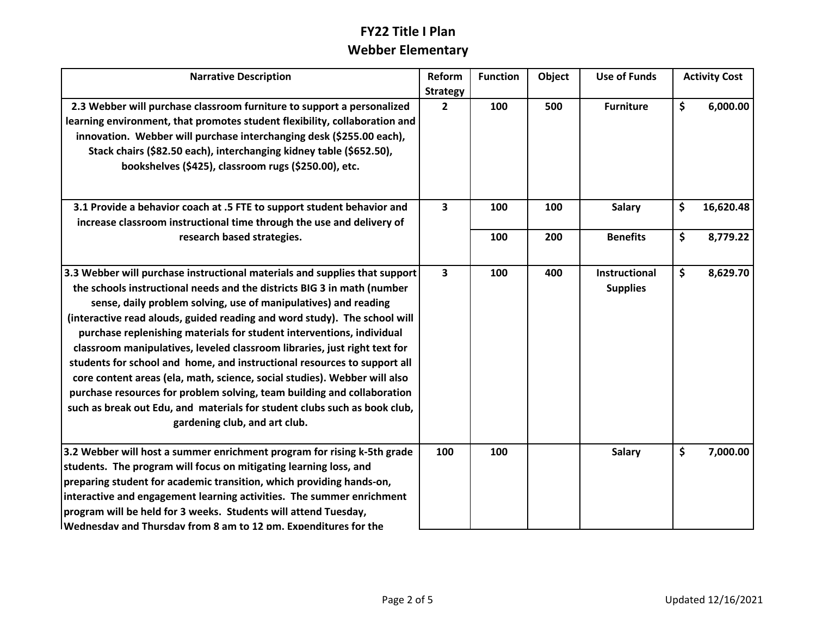# **FY22 Title I Plan Webber Elementary**

| <b>Narrative Description</b>                                                                                                                                                                                                                                                                                                                                                                                                                                                                                                                                                                                                                                                                                                                                                                                  | Reform                            | <b>Function</b> | Object | <b>Use of Funds</b>                     | <b>Activity Cost</b> |  |
|---------------------------------------------------------------------------------------------------------------------------------------------------------------------------------------------------------------------------------------------------------------------------------------------------------------------------------------------------------------------------------------------------------------------------------------------------------------------------------------------------------------------------------------------------------------------------------------------------------------------------------------------------------------------------------------------------------------------------------------------------------------------------------------------------------------|-----------------------------------|-----------------|--------|-----------------------------------------|----------------------|--|
| 2.3 Webber will purchase classroom furniture to support a personalized<br>learning environment, that promotes student flexibility, collaboration and<br>innovation. Webber will purchase interchanging desk (\$255.00 each),<br>Stack chairs (\$82.50 each), interchanging kidney table (\$652.50),<br>bookshelves (\$425), classroom rugs (\$250.00), etc.                                                                                                                                                                                                                                                                                                                                                                                                                                                   | <b>Strategy</b><br>$\overline{2}$ | 100             | 500    | <b>Furniture</b>                        | \$<br>6,000.00       |  |
| 3.1 Provide a behavior coach at .5 FTE to support student behavior and<br>increase classroom instructional time through the use and delivery of                                                                                                                                                                                                                                                                                                                                                                                                                                                                                                                                                                                                                                                               | $\overline{\mathbf{3}}$           | 100             | 100    | <b>Salary</b>                           | \$<br>16,620.48      |  |
| research based strategies.                                                                                                                                                                                                                                                                                                                                                                                                                                                                                                                                                                                                                                                                                                                                                                                    |                                   | 100             | 200    | <b>Benefits</b>                         | \$<br>8,779.22       |  |
| 3.3 Webber will purchase instructional materials and supplies that support<br>the schools instructional needs and the districts BIG 3 in math (number<br>sense, daily problem solving, use of manipulatives) and reading<br>(interactive read alouds, guided reading and word study). The school will<br>purchase replenishing materials for student interventions, individual<br>classroom manipulatives, leveled classroom libraries, just right text for<br>students for school and home, and instructional resources to support all<br>core content areas (ela, math, science, social studies). Webber will also<br>purchase resources for problem solving, team building and collaboration<br>such as break out Edu, and materials for student clubs such as book club,<br>gardening club, and art club. | $\overline{\mathbf{3}}$           | 100             | 400    | <b>Instructional</b><br><b>Supplies</b> | \$<br>8,629.70       |  |
| 3.2 Webber will host a summer enrichment program for rising k-5th grade<br>students. The program will focus on mitigating learning loss, and<br>preparing student for academic transition, which providing hands-on,<br>interactive and engagement learning activities. The summer enrichment<br>program will be held for 3 weeks. Students will attend Tuesday,<br>Wednesdav and Thursdav from 8 am to 12 pm. Expenditures for the                                                                                                                                                                                                                                                                                                                                                                           | 100                               | 100             |        | <b>Salary</b>                           | \$<br>7,000.00       |  |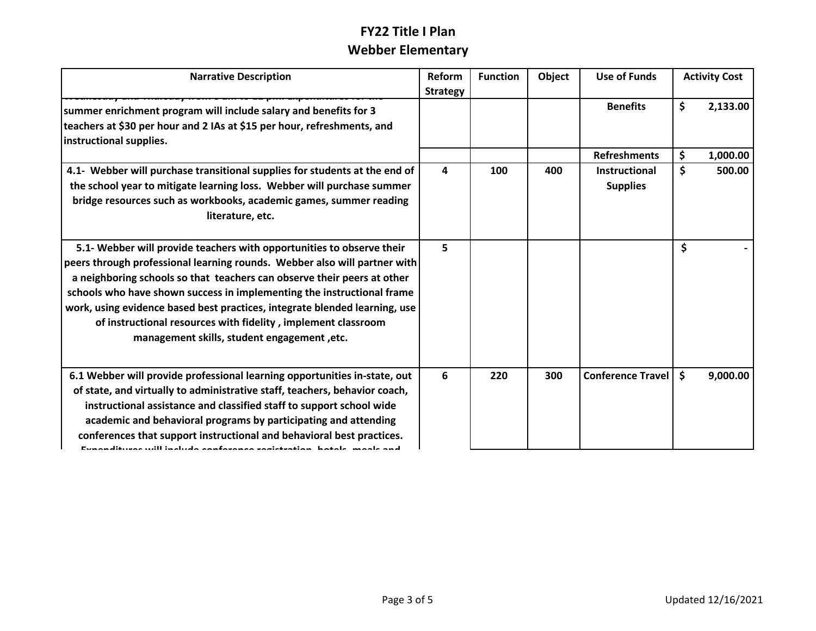### **FY22 Title I Plan Prepared the student for according transition, which prepared in the student for according transition,**  $\mathbf{w}$  **and**  $\mathbf{w}$  **and**  $\mathbf{w}$  **and**  $\mathbf{w}$  **and**  $\mathbf{w}$ **3.2 Webber will host a summer enrichment program for rising k-5th grade students. The program will focus on mitigating learning loss, and**

| <b>Narrative Description</b>                                                                                                                                                                                                                                                                                                                                                                                                                                                                          | Reform<br><b>Strategy</b> | <b>Function</b> | Object | Use of Funds                            |     | <b>Activity Cost</b> |
|-------------------------------------------------------------------------------------------------------------------------------------------------------------------------------------------------------------------------------------------------------------------------------------------------------------------------------------------------------------------------------------------------------------------------------------------------------------------------------------------------------|---------------------------|-----------------|--------|-----------------------------------------|-----|----------------------|
| summer enrichment program will include salary and benefits for 3<br>teachers at \$30 per hour and 2 IAs at \$15 per hour, refreshments, and<br>instructional supplies.                                                                                                                                                                                                                                                                                                                                |                           |                 |        | <b>Benefits</b>                         | \$  | 2,133.00             |
|                                                                                                                                                                                                                                                                                                                                                                                                                                                                                                       |                           |                 |        | <b>Refreshments</b>                     | \$  | 1,000.00             |
| 4.1- Webber will purchase transitional supplies for students at the end of<br>the school year to mitigate learning loss. Webber will purchase summer<br>bridge resources such as workbooks, academic games, summer reading<br>literature, etc.                                                                                                                                                                                                                                                        | 4                         | 100             | 400    | <b>Instructional</b><br><b>Supplies</b> | \$  | 500.00               |
| 5.1- Webber will provide teachers with opportunities to observe their<br>peers through professional learning rounds. Webber also will partner with<br>a neighboring schools so that teachers can observe their peers at other<br>schools who have shown success in implementing the instructional frame<br>work, using evidence based best practices, integrate blended learning, use<br>of instructional resources with fidelity, implement classroom<br>management skills, student engagement, etc. | 5                         |                 |        |                                         | \$  |                      |
| 6.1 Webber will provide professional learning opportunities in-state, out<br>of state, and virtually to administrative staff, teachers, behavior coach,<br>instructional assistance and classified staff to support school wide<br>academic and behavioral programs by participating and attending<br>conferences that support instructional and behavioral best practices.<br>Evanualituvos will includo conforonco rogistration, hotale, moale and                                                  | 6                         | 220             | 300    | <b>Conference Travel</b>                | \$. | 9,000.00             |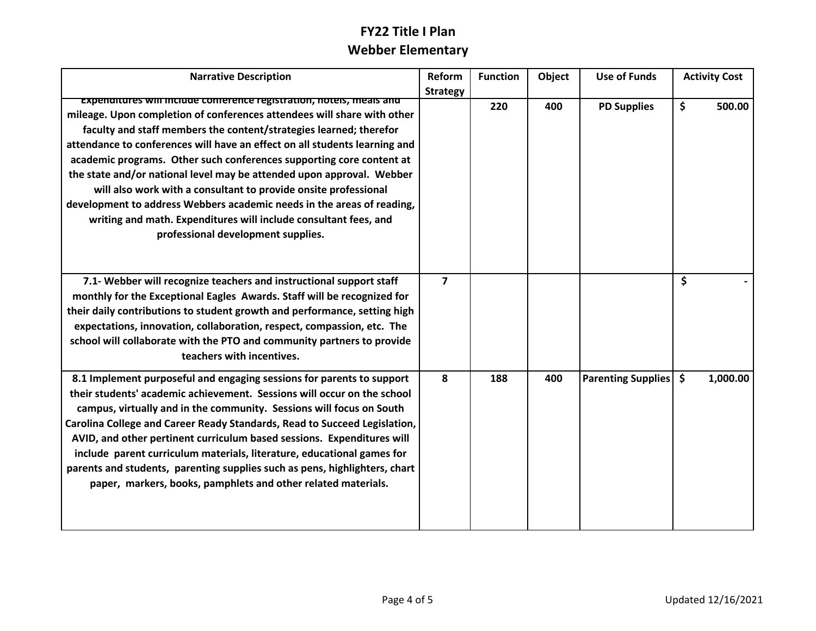#### **6.1 Webber will provide professional learning opportunities in FY22 Title I Plan Webber Elementary of state, and virtually to administrative staff, teachers, behavior coach, instructional assistance and classified stational wide**  $\mathbf{w}$  **to support stational wide**  $\mathbf{w}$

| <b>Narrative Description</b>                                                                                                                                                                                                                                                                                                                                                                                                                                                                                                                                                                                                                                                                                | <b>Reform</b>   | <b>Function</b> | Object | <b>Use of Funds</b>       | <b>Activity Cost</b>      |
|-------------------------------------------------------------------------------------------------------------------------------------------------------------------------------------------------------------------------------------------------------------------------------------------------------------------------------------------------------------------------------------------------------------------------------------------------------------------------------------------------------------------------------------------------------------------------------------------------------------------------------------------------------------------------------------------------------------|-----------------|-----------------|--------|---------------------------|---------------------------|
|                                                                                                                                                                                                                                                                                                                                                                                                                                                                                                                                                                                                                                                                                                             | <b>Strategy</b> |                 |        |                           |                           |
| experiatures will include conference registration, notels, meals and<br>mileage. Upon completion of conferences attendees will share with other<br>faculty and staff members the content/strategies learned; therefor<br>attendance to conferences will have an effect on all students learning and<br>academic programs. Other such conferences supporting core content at<br>the state and/or national level may be attended upon approval. Webber<br>will also work with a consultant to provide onsite professional<br>development to address Webbers academic needs in the areas of reading,<br>writing and math. Expenditures will include consultant fees, and<br>professional development supplies. |                 | 220             | 400    | <b>PD Supplies</b>        | \$<br>500.00              |
| 7.1- Webber will recognize teachers and instructional support staff<br>monthly for the Exceptional Eagles Awards. Staff will be recognized for<br>their daily contributions to student growth and performance, setting high<br>expectations, innovation, collaboration, respect, compassion, etc. The<br>school will collaborate with the PTO and community partners to provide<br>teachers with incentives.                                                                                                                                                                                                                                                                                                | $\overline{7}$  |                 |        |                           | $\mathsf{\hat{S}}$        |
| 8.1 Implement purposeful and engaging sessions for parents to support<br>their students' academic achievement. Sessions will occur on the school<br>campus, virtually and in the community. Sessions will focus on South<br>Carolina College and Career Ready Standards, Read to Succeed Legislation,<br>AVID, and other pertinent curriculum based sessions. Expenditures will<br>include parent curriculum materials, literature, educational games for<br>parents and students, parenting supplies such as pens, highlighters, chart<br>paper, markers, books, pamphlets and other related materials.                                                                                                    | 8               | 188             | 400    | <b>Parenting Supplies</b> | $\mathsf{\$}$<br>1,000.00 |